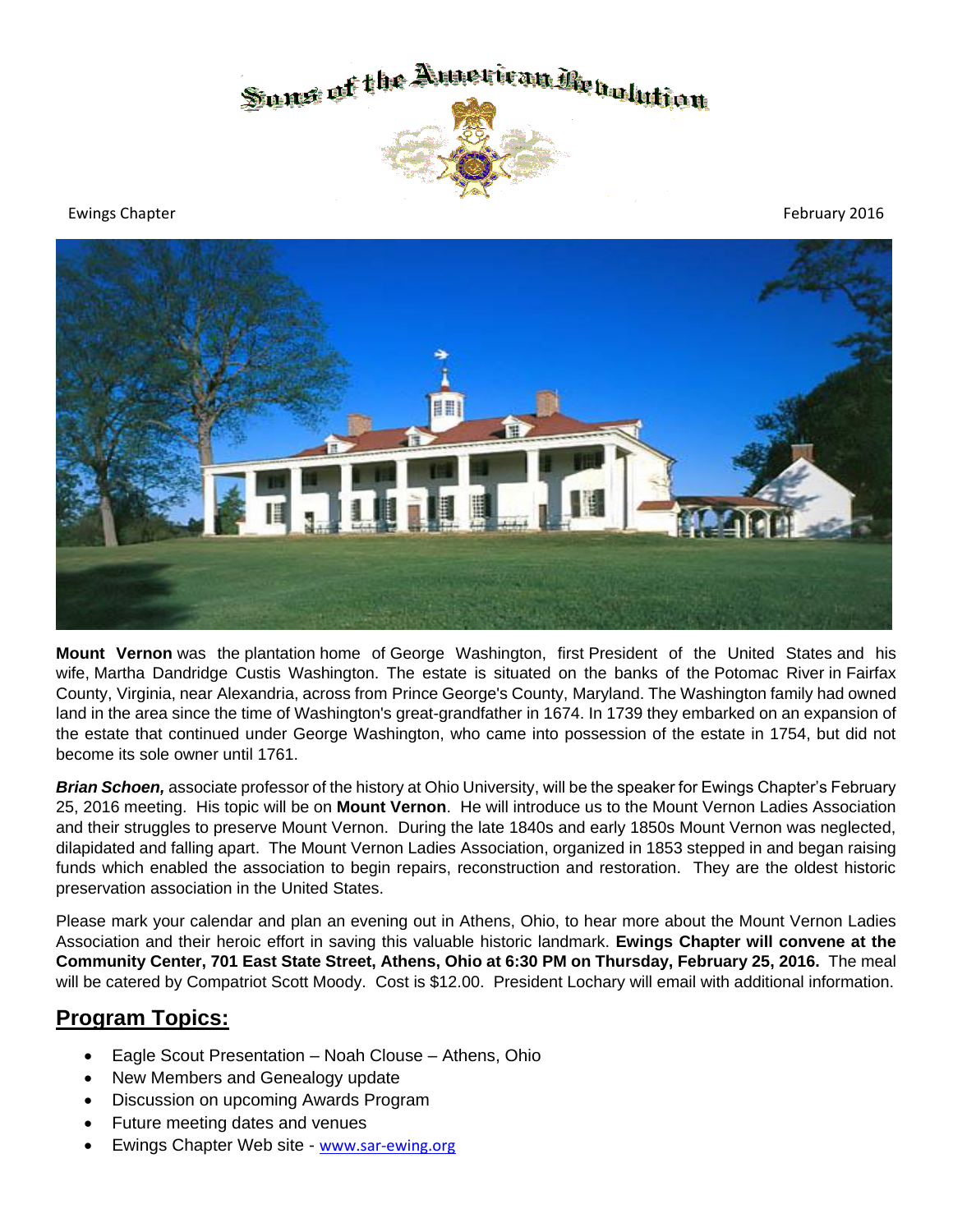

Ewings Chapter February 2016



**Mount Vernon** was the [plantation](https://en.wikipedia.org/wiki/Plantation#Other_types_of_plantation) home of [George Washington,](https://en.wikipedia.org/wiki/George_Washington) first [President of the United States](https://en.wikipedia.org/wiki/President_of_the_United_States) and his wife, [Martha Dandridge Custis Washington.](https://en.wikipedia.org/wiki/Martha_Washington) The estate is situated on the banks of the [Potomac River](https://en.wikipedia.org/wiki/Potomac_River) in [Fairfax](https://en.wikipedia.org/wiki/Fairfax_County,_Virginia)  [County,](https://en.wikipedia.org/wiki/Fairfax_County,_Virginia) [Virginia,](https://en.wikipedia.org/wiki/Virginia) near [Alexandria,](https://en.wikipedia.org/wiki/Alexandria,_Virginia) across from [Prince George's County,](https://en.wikipedia.org/wiki/Prince_George%27s_County,_Maryland) [Maryland.](https://en.wikipedia.org/wiki/Maryland) The Washington family had owned land in the area since the time of Washington's great-grandfather in 1674. In 1739 they embarked on an expansion of the estate that continued under George Washington, who came into possession of the estate in 1754, but did not become its sole owner until 1761.

*Brian Schoen,* associate professor of the history at Ohio University, will be the speaker for Ewings Chapter's February 25, 2016 meeting. His topic will be on **Mount Vernon**. He will introduce us to the Mount Vernon Ladies Association and their struggles to preserve Mount Vernon. During the late 1840s and early 1850s Mount Vernon was neglected, dilapidated and falling apart. The Mount Vernon Ladies Association, organized in 1853 stepped in and began raising funds which enabled the association to begin repairs, reconstruction and restoration. They are the oldest historic preservation association in the United States.

Please mark your calendar and plan an evening out in Athens, Ohio, to hear more about the Mount Vernon Ladies Association and their heroic effort in saving this valuable historic landmark. **Ewings Chapter will convene at the Community Center, 701 East State Street, Athens, Ohio at 6:30 PM on Thursday, February 25, 2016.** The meal will be catered by Compatriot Scott Moody. Cost is \$12.00. President Lochary will email with additional information.

# **Program Topics:**

- Eagle Scout Presentation Noah Clouse Athens, Ohio
- New Members and Genealogy update
- Discussion on upcoming Awards Program
- Future meeting dates and venues
- Ewings Chapter Web site [www.sar-ewing.org](http://www.sar-ewing.org/)